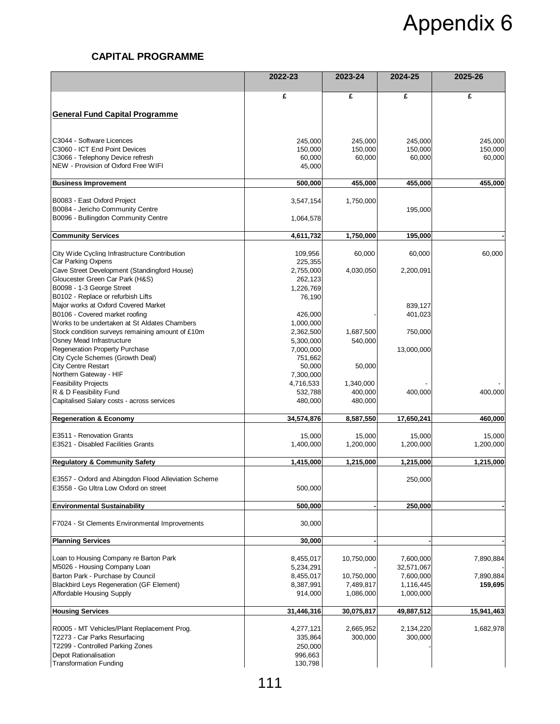## Appendix 6

## **CAPITAL PROGRAMME**

|                                                                                               | 2022-23    | 2023-24    | 2024-25    | 2025-26    |
|-----------------------------------------------------------------------------------------------|------------|------------|------------|------------|
|                                                                                               | £          | £          | £          | £          |
|                                                                                               |            |            |            |            |
| <b>General Fund Capital Programme</b>                                                         |            |            |            |            |
| C3044 - Software Licences                                                                     | 245,000    | 245,000    | 245,000    | 245,000    |
| C3060 - ICT End Point Devices                                                                 | 150,000    | 150,000    | 150,000    | 150,000    |
| C3066 - Telephony Device refresh                                                              | 60,000     | 60,000     | 60,000     | 60,000     |
| NEW - Provision of Oxford Free WIFI                                                           | 45,000     |            |            |            |
| <b>Business Improvement</b>                                                                   | 500,000    | 455,000    | 455,000    | 455,000    |
| B0083 - East Oxford Project                                                                   | 3,547,154  | 1,750,000  |            |            |
| B0084 - Jericho Community Centre                                                              |            |            | 195,000    |            |
| B0096 - Bullingdon Community Centre                                                           | 1,064,578  |            |            |            |
| <b>Community Services</b>                                                                     | 4,611,732  | 1,750,000  | 195,000    |            |
| City Wide Cycling Infrastructure Contribution                                                 | 109,956    | 60,000     | 60,000     | 60,000     |
| Car Parking Oxpens                                                                            | 225,355    |            |            |            |
| Cave Street Development (Standingford House)                                                  | 2,755,000  | 4,030,050  | 2,200,091  |            |
| Gloucester Green Car Park (H&S)                                                               | 262,123    |            |            |            |
| B0098 - 1-3 George Street                                                                     | 1,226,769  |            |            |            |
| B0102 - Replace or refurbish Lifts<br>Major works at Oxford Covered Market                    | 76,190     |            | 839,127    |            |
| B0106 - Covered market roofing                                                                | 426,000    |            | 401,023    |            |
| Works to be undertaken at St Aldates Chambers                                                 | 1,000,000  |            |            |            |
| Stock condition surveys remaining amount of £10m                                              | 2,362,500  | 1,687,500  | 750,000    |            |
| Osney Mead Infrastructure                                                                     | 5,300,000  | 540,000    |            |            |
| Regeneration Property Purchase                                                                | 7,000,000  |            | 13,000,000 |            |
| City Cycle Schemes (Growth Deal)                                                              | 751,662    |            |            |            |
| <b>City Centre Restart</b>                                                                    | 50,000     | 50,000     |            |            |
| Northern Gateway - HIF                                                                        | 7,300,000  |            |            |            |
| <b>Feasibility Projects</b>                                                                   | 4,716,533  | 1,340,000  |            |            |
| R & D Feasibility Fund                                                                        | 532,788    | 400,000    | 400,000    | 400,000    |
| Capitalised Salary costs - across services                                                    | 480,000    | 480,000    |            |            |
| <b>Regeneration &amp; Economy</b>                                                             | 34,574,876 | 8,587,550  | 17,650,241 | 460,000    |
| E3511 - Renovation Grants                                                                     | 15,000     | 15,000     | 15,000     | 15,000     |
| E3521 - Disabled Facilities Grants                                                            | 1,400,000  | 1,200,000  | 1,200,000  | 1,200,000  |
| <b>Regulatory &amp; Community Safety</b>                                                      | 1,415,000  | 1,215,000  | 1,215,000  | 1,215,000  |
|                                                                                               |            |            |            |            |
| E3557 - Oxford and Abingdon Flood Alleviation Scheme<br>E3558 - Go Ultra Low Oxford on street | 500,000    |            | 250,000    |            |
| <b>Environmental Sustainability</b>                                                           | 500,000    |            | 250,000    |            |
|                                                                                               |            |            |            |            |
| F7024 - St Clements Environmental Improvements                                                | 30,000     |            |            |            |
| <b>Planning Services</b>                                                                      | 30,000     |            |            |            |
| Loan to Housing Company re Barton Park                                                        | 8,455,017  | 10,750,000 | 7,600,000  | 7,890,884  |
| M5026 - Housing Company Loan                                                                  | 5,234,291  |            | 32,571,067 |            |
| Barton Park - Purchase by Council                                                             | 8,455,017  | 10,750,000 | 7,600,000  | 7,890,884  |
| <b>Blackbird Leys Regeneration (GF Element)</b>                                               | 8,387,991  | 7,489,817  | 1,116,445  | 159,695    |
| Affordable Housing Supply                                                                     | 914,000    | 1,086,000  | 1,000,000  |            |
| <b>Housing Services</b>                                                                       | 31,446,316 | 30,075,817 | 49,887,512 | 15,941,463 |
| R0005 - MT Vehicles/Plant Replacement Prog.                                                   | 4,277,121  | 2,665,952  | 2,134,220  | 1,682,978  |
| T2273 - Car Parks Resurfacing                                                                 | 335,864    | 300,000    | 300,000    |            |
| T2299 - Controlled Parking Zones                                                              | 250,000    |            |            |            |
| Depot Rationalisation                                                                         | 996,663    |            |            |            |
| <b>Transformation Funding</b>                                                                 | 130,798    |            |            |            |